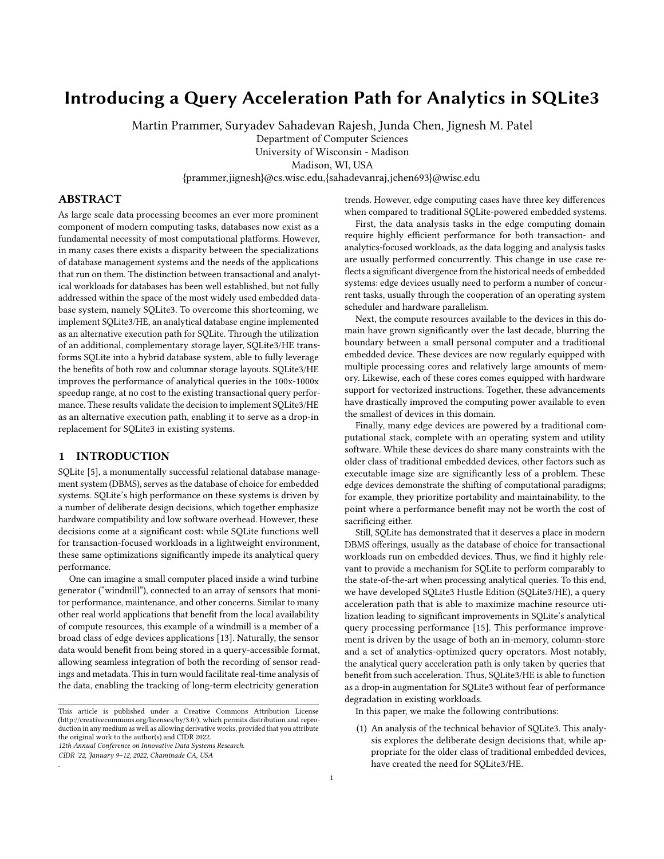# Introducing a Query Acceleration Path for Analytics in SQLite3

Martin Prammer, Suryadev Sahadevan Rajesh, Junda Chen, Jignesh M. Patel

Department of Computer Sciences

University of Wisconsin - Madison

Madison, WI, USA

{prammer,jignesh}@cs.wisc.edu,{sahadevanraj,jchen693}@wisc.edu

# ABSTRACT

As large scale data processing becomes an ever more prominent component of modern computing tasks, databases now exist as a fundamental necessity of most computational platforms. However, in many cases there exists a disparity between the specializations of database management systems and the needs of the applications that run on them. The distinction between transactional and analytical workloads for databases has been well established, but not fully addressed within the space of the most widely used embedded database system, namely SQLite3. To overcome this shortcoming, we implement SQLite3/HE, an analytical database engine implemented as an alternative execution path for SQLite. Through the utilization of an additional, complementary storage layer, SQLite3/HE transforms SQLite into a hybrid database system, able to fully leverage the benefits of both row and columnar storage layouts. SQLite3/HE improves the performance of analytical queries in the 100x-1000x speedup range, at no cost to the existing transactional query performance. These results validate the decision to implement SQLite3/HE as an alternative execution path, enabling it to serve as a drop-in replacement for SQLite3 in existing systems.

# 1 INTRODUCTION

SQLite [\[5\]](#page-6-0), a monumentally successful relational database management system (DBMS), serves as the database of choice for embedded systems. SQLite's high performance on these systems is driven by a number of deliberate design decisions, which together emphasize hardware compatibility and low software overhead. However, these decisions come at a significant cost: while SQLite functions well for transaction-focused workloads in a lightweight environment, these same optimizations significantly impede its analytical query performance.

One can imagine a small computer placed inside a wind turbine generator ("windmill"), connected to an array of sensors that monitor performance, maintenance, and other concerns. Similar to many other real world applications that benefit from the local availability of compute resources, this example of a windmill is a member of a broad class of edge devices applications [\[13\]](#page-6-1). Naturally, the sensor data would benefit from being stored in a query-accessible format, allowing seamless integration of both the recording of sensor readings and metadata. This in turn would facilitate real-time analysis of the data, enabling the tracking of long-term electricity generation

12th Annual Conference on Innovative Data Systems Research.

CIDR '22, January 9–12, 2022, Chaminade CA, USA

.

trends. However, edge computing cases have three key differences when compared to traditional SQLite-powered embedded systems.

First, the data analysis tasks in the edge computing domain require highly efficient performance for both transaction- and analytics-focused workloads, as the data logging and analysis tasks are usually performed concurrently. This change in use case reflects a significant divergence from the historical needs of embedded systems: edge devices usually need to perform a number of concurrent tasks, usually through the cooperation of an operating system scheduler and hardware parallelism.

Next, the compute resources available to the devices in this domain have grown significantly over the last decade, blurring the boundary between a small personal computer and a traditional embedded device. These devices are now regularly equipped with multiple processing cores and relatively large amounts of memory. Likewise, each of these cores comes equipped with hardware support for vectorized instructions. Together, these advancements have drastically improved the computing power available to even the smallest of devices in this domain.

Finally, many edge devices are powered by a traditional computational stack, complete with an operating system and utility software. While these devices do share many constraints with the older class of traditional embedded devices, other factors such as executable image size are significantly less of a problem. These edge devices demonstrate the shifting of computational paradigms; for example, they prioritize portability and maintainability, to the point where a performance benefit may not be worth the cost of sacrificing either.

Still, SQLite has demonstrated that it deserves a place in modern DBMS offerings, usually as the database of choice for transactional workloads run on embedded devices. Thus, we find it highly relevant to provide a mechanism for SQLite to perform comparably to the state-of-the-art when processing analytical queries. To this end, we have developed SQLite3 Hustle Edition (SQLite3/HE), a query acceleration path that is able to maximize machine resource utilization leading to significant improvements in SQLite's analytical query processing performance [\[15\]](#page-6-2). This performance improvement is driven by the usage of both an in-memory, column-store and a set of analytics-optimized query operators. Most notably, the analytical query acceleration path is only taken by queries that benefit from such acceleration. Thus, SQLite3/HE is able to function as a drop-in augmentation for SQLite3 without fear of performance degradation in existing workloads.

In this paper, we make the following contributions:

(1) An analysis of the technical behavior of SQLite3. This analysis explores the deliberate design decisions that, while appropriate for the older class of traditional embedded devices, have created the need for SQLite3/HE.

This article is published under a Creative Commons Attribution License (http://creativecommons.org/licenses/by/3.0/), which permits distribution and reproduction in any medium as well as allowing derivative works, provided that you attribute the original work to the author(s) and CIDR 2022.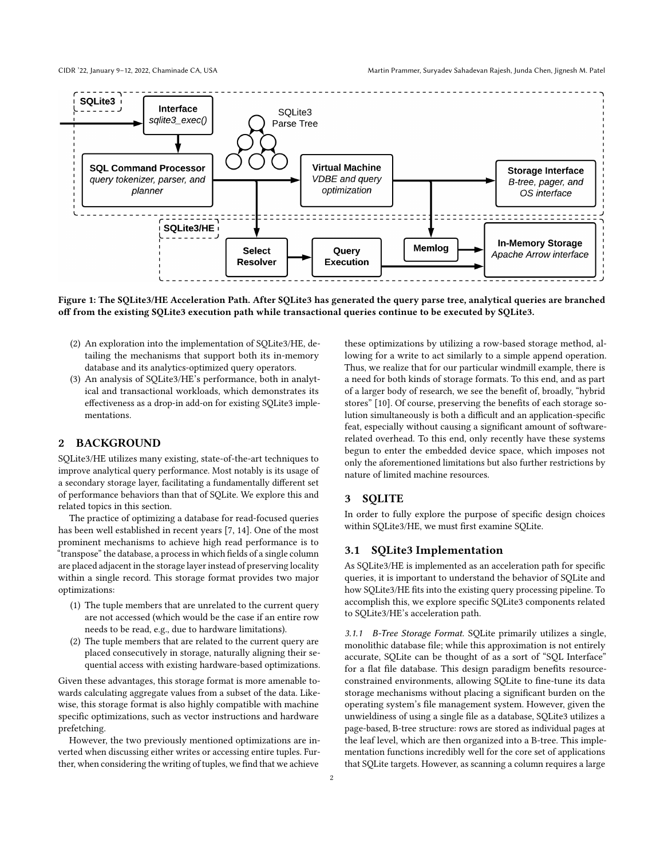

Figure 1: The SQLite3/HE Acceleration Path. After SQLite3 has generated the query parse tree, analytical queries are branched off from the existing SQLite3 execution path while transactional queries continue to be executed by SQLite3.

- (2) An exploration into the implementation of SQLite3/HE, detailing the mechanisms that support both its in-memory database and its analytics-optimized query operators.
- (3) An analysis of SQLite3/HE's performance, both in analytical and transactional workloads, which demonstrates its effectiveness as a drop-in add-on for existing SQLite3 implementations.

#### 2 BACKGROUND

SQLite3/HE utilizes many existing, state-of-the-art techniques to improve analytical query performance. Most notably is its usage of a secondary storage layer, facilitating a fundamentally different set of performance behaviors than that of SQLite. We explore this and related topics in this section.

The practice of optimizing a database for read-focused queries has been well established in recent years [\[7,](#page-6-3) [14\]](#page-6-4). One of the most prominent mechanisms to achieve high read performance is to "transpose" the database, a process in which fields of a single column are placed adjacent in the storage layer instead of preserving locality within a single record. This storage format provides two major optimizations:

- (1) The tuple members that are unrelated to the current query are not accessed (which would be the case if an entire row needs to be read, e.g., due to hardware limitations).
- (2) The tuple members that are related to the current query are placed consecutively in storage, naturally aligning their sequential access with existing hardware-based optimizations.

Given these advantages, this storage format is more amenable towards calculating aggregate values from a subset of the data. Likewise, this storage format is also highly compatible with machine specific optimizations, such as vector instructions and hardware prefetching.

However, the two previously mentioned optimizations are inverted when discussing either writes or accessing entire tuples. Further, when considering the writing of tuples, we find that we achieve

these optimizations by utilizing a row-based storage method, allowing for a write to act similarly to a simple append operation. Thus, we realize that for our particular windmill example, there is a need for both kinds of storage formats. To this end, and as part of a larger body of research, we see the benefit of, broadly, "hybrid stores" [\[10\]](#page-6-5). Of course, preserving the benefits of each storage solution simultaneously is both a difficult and an application-specific feat, especially without causing a significant amount of softwarerelated overhead. To this end, only recently have these systems begun to enter the embedded device space, which imposes not only the aforementioned limitations but also further restrictions by nature of limited machine resources.

#### 3 SQLITE

In order to fully explore the purpose of specific design choices within SQLite3/HE, we must first examine SQLite.

# 3.1 SQLite3 Implementation

As SQLite3/HE is implemented as an acceleration path for specific queries, it is important to understand the behavior of SQLite and how SQLite3/HE fits into the existing query processing pipeline. To accomplish this, we explore specific SQLite3 components related to SQLite3/HE's acceleration path.

3.1.1 B-Tree Storage Format. SQLite primarily utilizes a single, monolithic database file; while this approximation is not entirely accurate, SQLite can be thought of as a sort of "SQL Interface" for a flat file database. This design paradigm benefits resourceconstrained environments, allowing SQLite to fine-tune its data storage mechanisms without placing a significant burden on the operating system's file management system. However, given the unwieldiness of using a single file as a database, SQLite3 utilizes a page-based, B-tree structure: rows are stored as individual pages at the leaf level, which are then organized into a B-tree. This implementation functions incredibly well for the core set of applications that SQLite targets. However, as scanning a column requires a large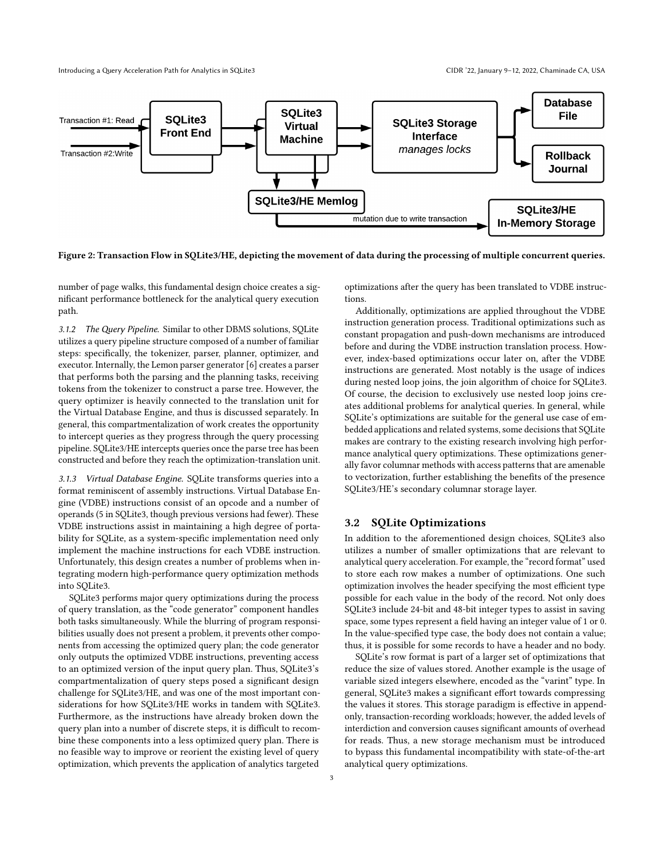Introducing a Query Acceleration Path for Analytics in SQLite3 CIDR '22, January 9–12, 2022, Chaminade CA, USA



Figure 2: Transaction Flow in SQLite3/HE, depicting the movement of data during the processing of multiple concurrent queries.

number of page walks, this fundamental design choice creates a significant performance bottleneck for the analytical query execution path.

3.1.2 The Query Pipeline. Similar to other DBMS solutions, SQLite utilizes a query pipeline structure composed of a number of familiar steps: specifically, the tokenizer, parser, planner, optimizer, and executor. Internally, the Lemon parser generator [\[6\]](#page-6-6) creates a parser that performs both the parsing and the planning tasks, receiving tokens from the tokenizer to construct a parse tree. However, the query optimizer is heavily connected to the translation unit for the Virtual Database Engine, and thus is discussed separately. In general, this compartmentalization of work creates the opportunity to intercept queries as they progress through the query processing pipeline. SQLite3/HE intercepts queries once the parse tree has been constructed and before they reach the optimization-translation unit.

3.1.3 Virtual Database Engine. SQLite transforms queries into a format reminiscent of assembly instructions. Virtual Database Engine (VDBE) instructions consist of an opcode and a number of operands (5 in SQLite3, though previous versions had fewer). These VDBE instructions assist in maintaining a high degree of portability for SQLite, as a system-specific implementation need only implement the machine instructions for each VDBE instruction. Unfortunately, this design creates a number of problems when integrating modern high-performance query optimization methods into SQLite3.

SQLite3 performs major query optimizations during the process of query translation, as the "code generator" component handles both tasks simultaneously. While the blurring of program responsibilities usually does not present a problem, it prevents other components from accessing the optimized query plan; the code generator only outputs the optimized VDBE instructions, preventing access to an optimized version of the input query plan. Thus, SQLite3's compartmentalization of query steps posed a significant design challenge for SQLite3/HE, and was one of the most important considerations for how SQLite3/HE works in tandem with SQLite3. Furthermore, as the instructions have already broken down the query plan into a number of discrete steps, it is difficult to recombine these components into a less optimized query plan. There is no feasible way to improve or reorient the existing level of query optimization, which prevents the application of analytics targeted

optimizations after the query has been translated to VDBE instructions.

Additionally, optimizations are applied throughout the VDBE instruction generation process. Traditional optimizations such as constant propagation and push-down mechanisms are introduced before and during the VDBE instruction translation process. However, index-based optimizations occur later on, after the VDBE instructions are generated. Most notably is the usage of indices during nested loop joins, the join algorithm of choice for SQLite3. Of course, the decision to exclusively use nested loop joins creates additional problems for analytical queries. In general, while SQLite's optimizations are suitable for the general use case of embedded applications and related systems, some decisions that SQLite makes are contrary to the existing research involving high performance analytical query optimizations. These optimizations generally favor columnar methods with access patterns that are amenable to vectorization, further establishing the benefits of the presence SQLite3/HE's secondary columnar storage layer.

## 3.2 SQLite Optimizations

In addition to the aforementioned design choices, SQLite3 also utilizes a number of smaller optimizations that are relevant to analytical query acceleration. For example, the "record format" used to store each row makes a number of optimizations. One such optimization involves the header specifying the most efficient type possible for each value in the body of the record. Not only does SQLite3 include 24-bit and 48-bit integer types to assist in saving space, some types represent a field having an integer value of 1 or 0. In the value-specified type case, the body does not contain a value; thus, it is possible for some records to have a header and no body.

SQLite's row format is part of a larger set of optimizations that reduce the size of values stored. Another example is the usage of variable sized integers elsewhere, encoded as the "varint" type. In general, SQLite3 makes a significant effort towards compressing the values it stores. This storage paradigm is effective in appendonly, transaction-recording workloads; however, the added levels of interdiction and conversion causes significant amounts of overhead for reads. Thus, a new storage mechanism must be introduced to bypass this fundamental incompatibility with state-of-the-art analytical query optimizations.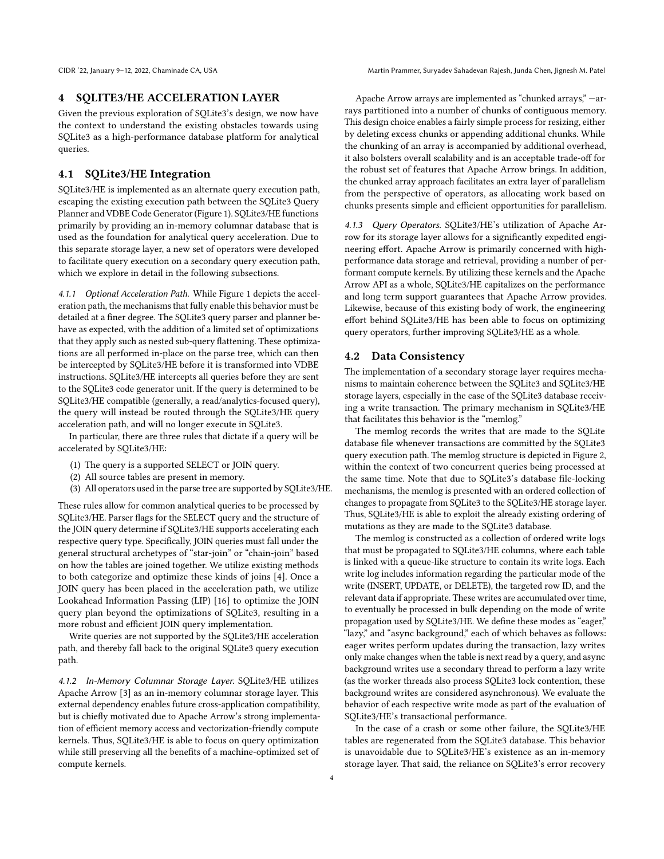## 4 SQLITE3/HE ACCELERATION LAYER

Given the previous exploration of SQLite3's design, we now have the context to understand the existing obstacles towards using SQLite3 as a high-performance database platform for analytical queries.

## 4.1 SQLite3/HE Integration

SQLite3/HE is implemented as an alternate query execution path, escaping the existing execution path between the SQLite3 Query Planner and VDBE Code Generator (Figure 1). SQLite3/HE functions primarily by providing an in-memory columnar database that is used as the foundation for analytical query acceleration. Due to this separate storage layer, a new set of operators were developed to facilitate query execution on a secondary query execution path, which we explore in detail in the following subsections.

4.1.1 Optional Acceleration Path. While Figure 1 depicts the acceleration path, the mechanisms that fully enable this behavior must be detailed at a finer degree. The SQLite3 query parser and planner behave as expected, with the addition of a limited set of optimizations that they apply such as nested sub-query flattening. These optimizations are all performed in-place on the parse tree, which can then be intercepted by SQLite3/HE before it is transformed into VDBE instructions. SQLite3/HE intercepts all queries before they are sent to the SQLite3 code generator unit. If the query is determined to be SQLite3/HE compatible (generally, a read/analytics-focused query), the query will instead be routed through the SQLite3/HE query acceleration path, and will no longer execute in SQLite3.

In particular, there are three rules that dictate if a query will be accelerated by SQLite3/HE:

- (1) The query is a supported SELECT or JOIN query.
- (2) All source tables are present in memory.
- (3) All operators used in the parse tree are supported by SQLite3/HE.

These rules allow for common analytical queries to be processed by SQLite3/HE. Parser flags for the SELECT query and the structure of the JOIN query determine if SQLite3/HE supports accelerating each respective query type. Specifically, JOIN queries must fall under the general structural archetypes of "star-join" or "chain-join" based on how the tables are joined together. We utilize existing methods to both categorize and optimize these kinds of joins [\[4\]](#page-6-7). Once a JOIN query has been placed in the acceleration path, we utilize Lookahead Information Passing (LIP) [\[16\]](#page-6-8) to optimize the JOIN query plan beyond the optimizations of SQLite3, resulting in a more robust and efficient JOIN query implementation.

Write queries are not supported by the SQLite3/HE acceleration path, and thereby fall back to the original SQLite3 query execution path.

4.1.2 In-Memory Columnar Storage Layer. SQLite3/HE utilizes Apache Arrow [\[3\]](#page-6-9) as an in-memory columnar storage layer. This external dependency enables future cross-application compatibility, but is chiefly motivated due to Apache Arrow's strong implementation of efficient memory access and vectorization-friendly compute kernels. Thus, SQLite3/HE is able to focus on query optimization while still preserving all the benefits of a machine-optimized set of compute kernels.

Apache Arrow arrays are implemented as "chunked arrays," —arrays partitioned into a number of chunks of contiguous memory. This design choice enables a fairly simple process for resizing, either by deleting excess chunks or appending additional chunks. While the chunking of an array is accompanied by additional overhead, it also bolsters overall scalability and is an acceptable trade-off for the robust set of features that Apache Arrow brings. In addition, the chunked array approach facilitates an extra layer of parallelism from the perspective of operators, as allocating work based on chunks presents simple and efficient opportunities for parallelism.

4.1.3 Query Operators. SQLite3/HE's utilization of Apache Arrow for its storage layer allows for a significantly expedited engineering effort. Apache Arrow is primarily concerned with highperformance data storage and retrieval, providing a number of performant compute kernels. By utilizing these kernels and the Apache Arrow API as a whole, SQLite3/HE capitalizes on the performance and long term support guarantees that Apache Arrow provides. Likewise, because of this existing body of work, the engineering effort behind SQLite3/HE has been able to focus on optimizing query operators, further improving SQLite3/HE as a whole.

#### 4.2 Data Consistency

The implementation of a secondary storage layer requires mechanisms to maintain coherence between the SQLite3 and SQLite3/HE storage layers, especially in the case of the SQLite3 database receiving a write transaction. The primary mechanism in SQLite3/HE that facilitates this behavior is the "memlog."

The memlog records the writes that are made to the SQLite database file whenever transactions are committed by the SQLite3 query execution path. The memlog structure is depicted in Figure 2, within the context of two concurrent queries being processed at the same time. Note that due to SQLite3's database file-locking mechanisms, the memlog is presented with an ordered collection of changes to propagate from SQLite3 to the SQLite3/HE storage layer. Thus, SQLite3/HE is able to exploit the already existing ordering of mutations as they are made to the SQLite3 database.

The memlog is constructed as a collection of ordered write logs that must be propagated to SQLite3/HE columns, where each table is linked with a queue-like structure to contain its write logs. Each write log includes information regarding the particular mode of the write (INSERT, UPDATE, or DELETE), the targeted row ID, and the relevant data if appropriate. These writes are accumulated over time, to eventually be processed in bulk depending on the mode of write propagation used by SQLite3/HE. We define these modes as "eager," "lazy," and "async background," each of which behaves as follows: eager writes perform updates during the transaction, lazy writes only make changes when the table is next read by a query, and async background writes use a secondary thread to perform a lazy write (as the worker threads also process SQLite3 lock contention, these background writes are considered asynchronous). We evaluate the behavior of each respective write mode as part of the evaluation of SQLite3/HE's transactional performance.

In the case of a crash or some other failure, the SQLite3/HE tables are regenerated from the SQLite3 database. This behavior is unavoidable due to SQLite3/HE's existence as an in-memory storage layer. That said, the reliance on SQLite3's error recovery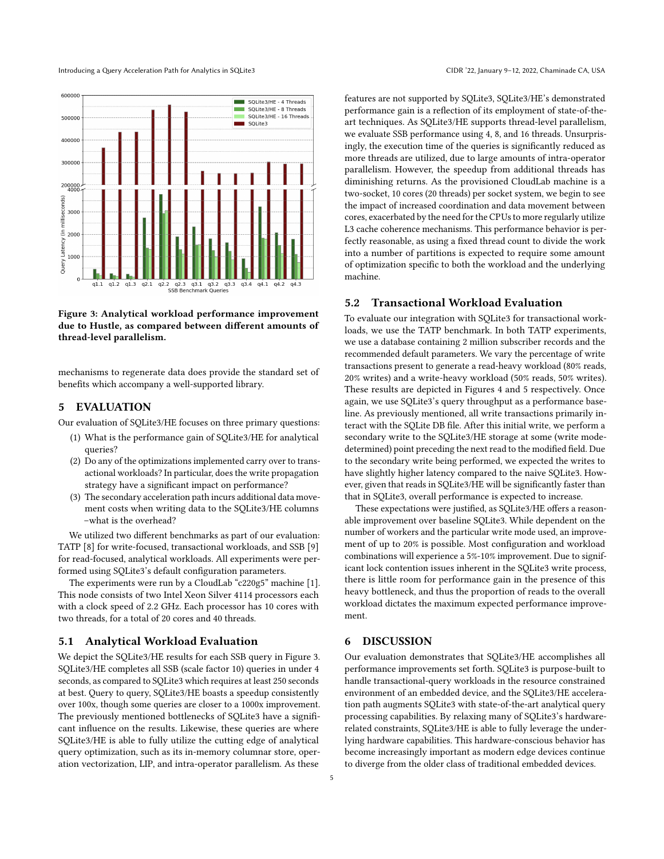Introducing a Query Acceleration Path for Analytics in SQLite3 CIDR '22, January 9–12, 2022, Chaminade CA, USA



Figure 3: Analytical workload performance improvement due to Hustle, as compared between different amounts of thread-level parallelism.

mechanisms to regenerate data does provide the standard set of benefits which accompany a well-supported library.

#### 5 EVALUATION

Our evaluation of SQLite3/HE focuses on three primary questions:

- (1) What is the performance gain of SQLite3/HE for analytical queries?
- (2) Do any of the optimizations implemented carry over to transactional workloads? In particular, does the write propagation strategy have a significant impact on performance?
- (3) The secondary acceleration path incurs additional data movement costs when writing data to the SQLite3/HE columns –what is the overhead?

We utilized two different benchmarks as part of our evaluation: TATP [\[8\]](#page-6-10) for write-focused, transactional workloads, and SSB [\[9\]](#page-6-11) for read-focused, analytical workloads. All experiments were performed using SQLite3's default configuration parameters.

The experiments were run by a CloudLab "c220g5" machine [\[1\]](#page-6-12). This node consists of two Intel Xeon Silver 4114 processors each with a clock speed of 2.2 GHz. Each processor has 10 cores with two threads, for a total of 20 cores and 40 threads.

## 5.1 Analytical Workload Evaluation

We depict the SQLite3/HE results for each SSB query in Figure 3. SQLite3/HE completes all SSB (scale factor 10) queries in under 4 seconds, as compared to SQLite3 which requires at least 250 seconds at best. Query to query, SQLite3/HE boasts a speedup consistently over 100x, though some queries are closer to a 1000x improvement. The previously mentioned bottlenecks of SQLite3 have a significant influence on the results. Likewise, these queries are where SQLite3/HE is able to fully utilize the cutting edge of analytical query optimization, such as its in-memory columnar store, operation vectorization, LIP, and intra-operator parallelism. As these

features are not supported by SQLite3, SQLite3/HE's demonstrated performance gain is a reflection of its employment of state-of-theart techniques. As SQLite3/HE supports thread-level parallelism, we evaluate SSB performance using 4, 8, and 16 threads. Unsurprisingly, the execution time of the queries is significantly reduced as more threads are utilized, due to large amounts of intra-operator parallelism. However, the speedup from additional threads has diminishing returns. As the provisioned CloudLab machine is a two-socket, 10 cores (20 threads) per socket system, we begin to see the impact of increased coordination and data movement between cores, exacerbated by the need for the CPUs to more regularly utilize L3 cache coherence mechanisms. This performance behavior is perfectly reasonable, as using a fixed thread count to divide the work into a number of partitions is expected to require some amount of optimization specific to both the workload and the underlying machine.

#### 5.2 Transactional Workload Evaluation

To evaluate our integration with SQLite3 for transactional workloads, we use the TATP benchmark. In both TATP experiments, we use a database containing 2 million subscriber records and the recommended default parameters. We vary the percentage of write transactions present to generate a read-heavy workload (80% reads, 20% writes) and a write-heavy workload (50% reads, 50% writes). These results are depicted in Figures 4 and 5 respectively. Once again, we use SQLite3's query throughput as a performance baseline. As previously mentioned, all write transactions primarily interact with the SQLite DB file. After this initial write, we perform a secondary write to the SQLite3/HE storage at some (write modedetermined) point preceding the next read to the modified field. Due to the secondary write being performed, we expected the writes to have slightly higher latency compared to the naive SQLite3. However, given that reads in SQLite3/HE will be significantly faster than that in SQLite3, overall performance is expected to increase.

These expectations were justified, as SQLite3/HE offers a reasonable improvement over baseline SQLite3. While dependent on the number of workers and the particular write mode used, an improvement of up to 20% is possible. Most configuration and workload combinations will experience a 5%-10% improvement. Due to significant lock contention issues inherent in the SQLite3 write process, there is little room for performance gain in the presence of this heavy bottleneck, and thus the proportion of reads to the overall workload dictates the maximum expected performance improvement.

## 6 DISCUSSION

Our evaluation demonstrates that SQLite3/HE accomplishes all performance improvements set forth. SQLite3 is purpose-built to handle transactional-query workloads in the resource constrained environment of an embedded device, and the SQLite3/HE acceleration path augments SQLite3 with state-of-the-art analytical query processing capabilities. By relaxing many of SQLite3's hardwarerelated constraints, SQLite3/HE is able to fully leverage the underlying hardware capabilities. This hardware-conscious behavior has become increasingly important as modern edge devices continue to diverge from the older class of traditional embedded devices.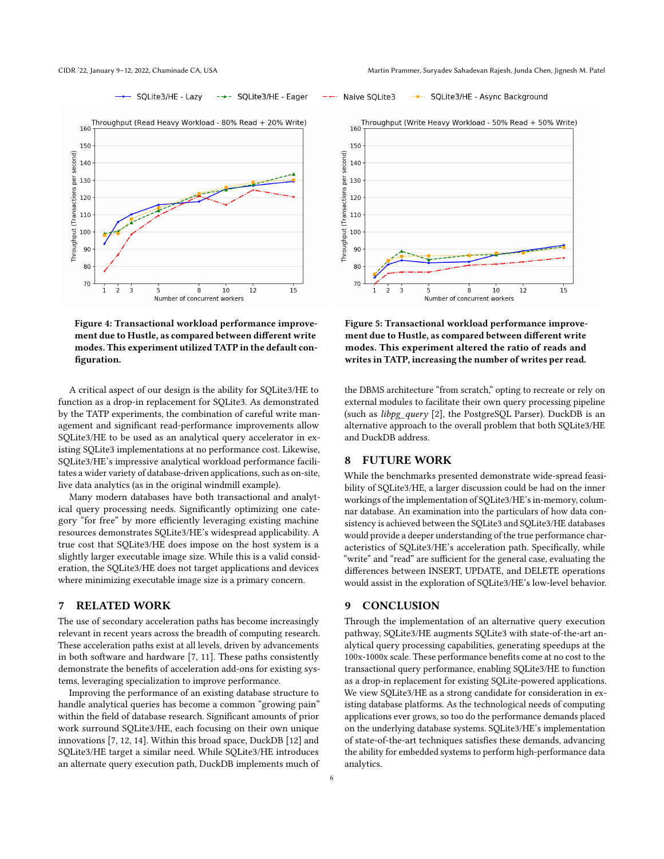SQLite3/HE - Async Background



Figure 4: Transactional workload performance improvement due to Hustle, as compared between different write modes. This experiment utilized TATP in the default configuration.

A critical aspect of our design is the ability for SQLite3/HE to function as a drop-in replacement for SQLite3. As demonstrated by the TATP experiments, the combination of careful write management and significant read-performance improvements allow SQLite3/HE to be used as an analytical query accelerator in existing SQLite3 implementations at no performance cost. Likewise, SQLite3/HE's impressive analytical workload performance facilitates a wider variety of database-driven applications, such as on-site, live data analytics (as in the original windmill example).

Many modern databases have both transactional and analytical query processing needs. Significantly optimizing one category "for free" by more efficiently leveraging existing machine resources demonstrates SQLite3/HE's widespread applicability. A true cost that SQLite3/HE does impose on the host system is a slightly larger executable image size. While this is a valid consideration, the SQLite3/HE does not target applications and devices where minimizing executable image size is a primary concern.

#### 7 RELATED WORK

The use of secondary acceleration paths has become increasingly relevant in recent years across the breadth of computing research. These acceleration paths exist at all levels, driven by advancements in both software and hardware [\[7,](#page-6-3) [11\]](#page-6-13). These paths consistently demonstrate the benefits of acceleration add-ons for existing systems, leveraging specialization to improve performance.

Improving the performance of an existing database structure to handle analytical queries has become a common "growing pain" within the field of database research. Significant amounts of prior work surround SQLite3/HE, each focusing on their own unique innovations [\[7,](#page-6-3) [12,](#page-6-14) [14\]](#page-6-4). Within this broad space, DuckDB [\[12\]](#page-6-14) and SQLite3/HE target a similar need. While SQLite3/HE introduces an alternate query execution path, DuckDB implements much of



Figure 5: Transactional workload performance improvement due to Hustle, as compared between different write modes. This experiment altered the ratio of reads and writes in TATP, increasing the number of writes per read.

the DBMS architecture "from scratch," opting to recreate or rely on external modules to facilitate their own query processing pipeline (such as libpg\_query [\[2\]](#page-6-15), the PostgreSQL Parser). DuckDB is an alternative approach to the overall problem that both SQLite3/HE and DuckDB address.

#### 8 FUTURE WORK

Naive SQLite3

 $\ldots$  .

While the benchmarks presented demonstrate wide-spread feasibility of SQLite3/HE, a larger discussion could be had on the inner workings of the implementation of SQLite3/HE's in-memory, columnar database. An examination into the particulars of how data consistency is achieved between the SQLite3 and SQLite3/HE databases would provide a deeper understanding of the true performance characteristics of SQLite3/HE's acceleration path. Specifically, while "write" and "read" are sufficient for the general case, evaluating the differences between INSERT, UPDATE, and DELETE operations would assist in the exploration of SQLite3/HE's low-level behavior.

#### 9 CONCLUSION

Through the implementation of an alternative query execution pathway, SQLite3/HE augments SQLite3 with state-of-the-art analytical query processing capabilities, generating speedups at the 100x-1000x scale. These performance benefits come at no cost to the transactional query performance, enabling SQLite3/HE to function as a drop-in replacement for existing SQLite-powered applications. We view SQLite3/HE as a strong candidate for consideration in existing database platforms. As the technological needs of computing applications ever grows, so too do the performance demands placed on the underlying database systems. SQLite3/HE's implementation of state-of-the-art techniques satisfies these demands, advancing the ability for embedded systems to perform high-performance data analytics.